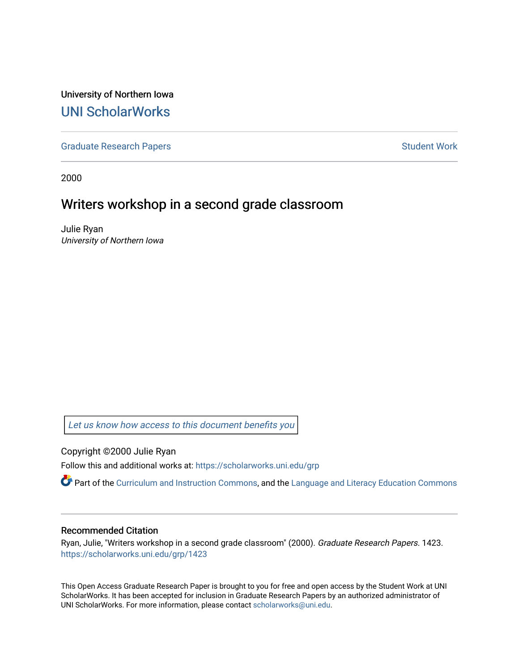University of Northern Iowa [UNI ScholarWorks](https://scholarworks.uni.edu/) 

[Graduate Research Papers](https://scholarworks.uni.edu/grp) **Student Work** Student Work

2000

### Writers workshop in a second grade classroom

Julie Ryan University of Northern Iowa

[Let us know how access to this document benefits you](https://scholarworks.uni.edu/feedback_form.html) 

Copyright ©2000 Julie Ryan

Follow this and additional works at: [https://scholarworks.uni.edu/grp](https://scholarworks.uni.edu/grp?utm_source=scholarworks.uni.edu%2Fgrp%2F1423&utm_medium=PDF&utm_campaign=PDFCoverPages) 

Part of the [Curriculum and Instruction Commons,](http://network.bepress.com/hgg/discipline/786?utm_source=scholarworks.uni.edu%2Fgrp%2F1423&utm_medium=PDF&utm_campaign=PDFCoverPages) and the [Language and Literacy Education Commons](http://network.bepress.com/hgg/discipline/1380?utm_source=scholarworks.uni.edu%2Fgrp%2F1423&utm_medium=PDF&utm_campaign=PDFCoverPages) 

#### Recommended Citation

Ryan, Julie, "Writers workshop in a second grade classroom" (2000). Graduate Research Papers. 1423. [https://scholarworks.uni.edu/grp/1423](https://scholarworks.uni.edu/grp/1423?utm_source=scholarworks.uni.edu%2Fgrp%2F1423&utm_medium=PDF&utm_campaign=PDFCoverPages) 

This Open Access Graduate Research Paper is brought to you for free and open access by the Student Work at UNI ScholarWorks. It has been accepted for inclusion in Graduate Research Papers by an authorized administrator of UNI ScholarWorks. For more information, please contact [scholarworks@uni.edu.](mailto:scholarworks@uni.edu)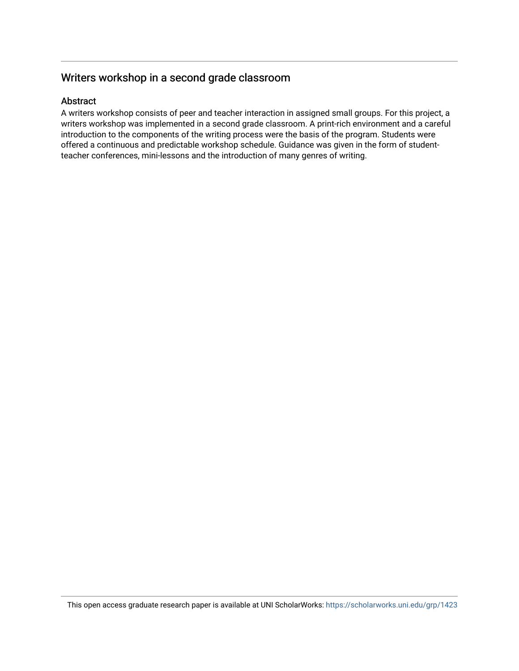#### Writers workshop in a second grade classroom

#### Abstract

A writers workshop consists of peer and teacher interaction in assigned small groups. For this project, a writers workshop was implemented in a second grade classroom. A print-rich environment and a careful introduction to the components of the writing process were the basis of the program. Students were offered a continuous and predictable workshop schedule. Guidance was given in the form of studentteacher conferences, mini-lessons and the introduction of many genres of writing.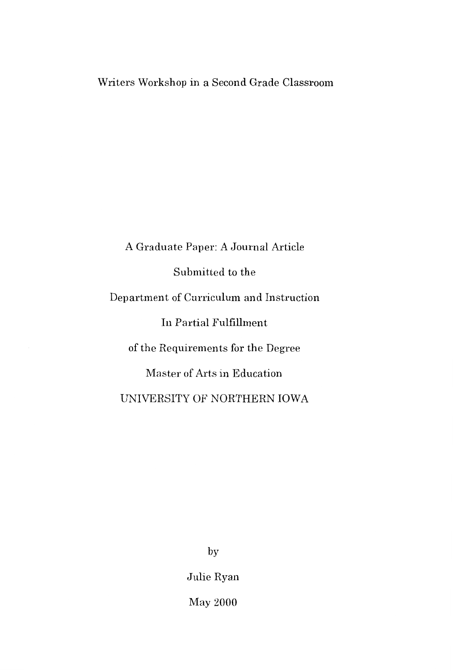#### Writers Workshop in a Second Grade Classroom

A Graduate Paper: A Journal Article Submitted to the Department of Curriculum and Instruction In Partial Fulfillment of the Requirements for the Degree Master of Arts in Education UNIVERSITY OF NORTHERN IOWA

by

Julie Ryan

May 2000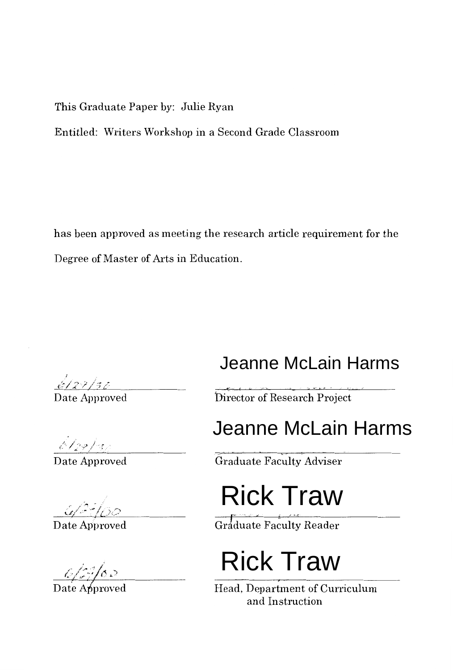This Graduate Paper by: Julie Ryan

Entitled: Writers Workshop in a Second Grade Classroom

has been approved as meeting the research article requirement for the Degree of Master of Arts in Education.

### Jeanne McLain Harms

Director of Research Project

## Jeanne McLain Harms

Graduate Faculty Adviser

# Rick Traw

Graduate Faculty Reader

## Rick Traw

Head, Department of Curriculum and Instruction

*I*  {:: lj :;/ <,; .,/ .~; ,~.\_ Date Approved

 $\frac{\sqrt{28}}{2}$  Date Approved

 $\frac{G/27}{\text{Date}\,\text{Approved}}$ 

 $\frac{6}{2}$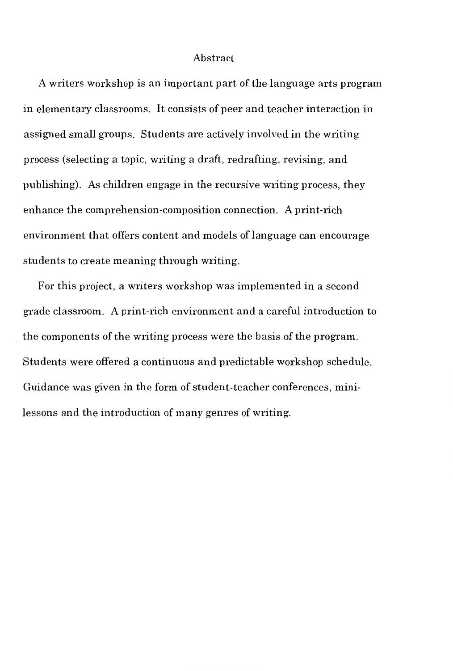#### Abstract

A writers workshop is an important part of the language arts program in elementary classrooms. It consists of peer and teacher interaction in assigned small groups. Students are actively involved in the writing process (selecting a topic, writing a draft, redrafting, revising, and publishing). As children engage in the recursive writing process, they enhance the comprehension-composition connection. A print-rich environment that offers content and models of language can encourage students to create meaning through writing.

For this project, a writers workshop was implemented in a second grade classroom. A print-rich environment and a careful introduction to . the components of the writing process were the basis of the program. Students were offered a continuous and predictable workshop schedule. Guidance was given in the form of student-teacher conferences, minilessons and the introduction of many genres of writing.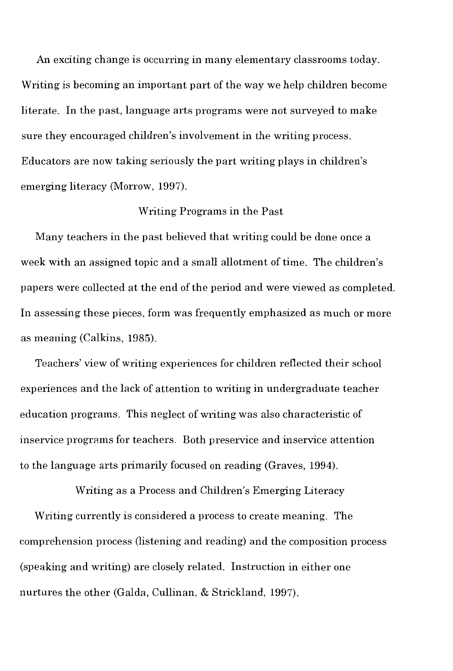An exciting change is occurring in many elementary classrooms today. Writing is becoming an important part of the way we help children become literate. In the past, language arts programs were not surveyed to make sure they encouraged children's involvement in the writing process. Educators are now taking seriously the part writing plays in children's emerging literacy (Morrow, 1997).

#### Writing Programs in the Past

Many teachers in the past believed that writing could be done once a week with an assigned topic and a small allotment of time. The children's papers were collected at the end of the period and were viewed as completed. In assessing these pieces, form was frequently emphasized as much or more as meaning (Calkins, 1985).

Teachers' view of writing experiences for children reflected their school experiences and the lack of attention to writing in undergraduate teacher education programs. This neglect of writing was also characteristic of inservice programs for teachers. Both preservice and inservice attention to the language arts primarily focused on reading (Graves, 1994).

Writing as a Process and Children's Emerging Literacy Writing currently is considered a process to create meaning. The comprehension process (listening and reading) and the composition process (speaking and writing) are closely related. Instruction in either one nurtures the other (Galda, Cullinan, & Strickland, 1997).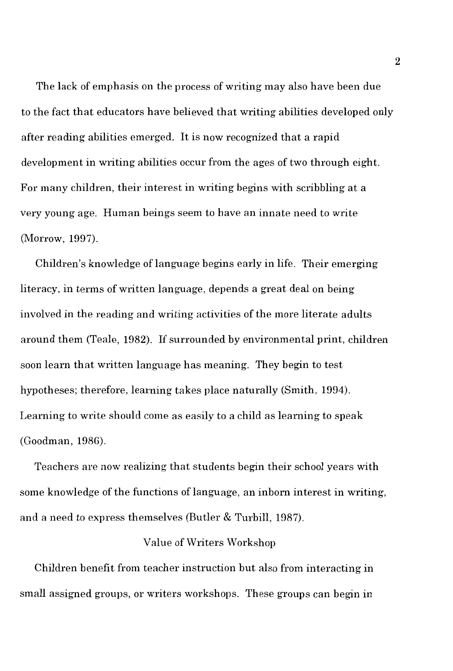The lack of emphasis on the process of writing may also have been due to the fact that educators have believed that writing abilities developed only after reading abilities emerged. It is now recognized that a rapid development in writing abilities occur from the ages of two through eight. For many children, their interest in writing begins with scribbling at a very young age. Human beings seem to have an innate need to write (Morrow, 1997).

Children's knowledge of language begins early in life. Their emerging literacy, in terms of written language, depends a great deal on being involved in the reading and writing activities of the more literate adults around them (Teale, 1982). If surrounded by environmental print, children soon learn that written language has meaning. They begin to test hypotheses; therefore, learning takes place naturally (Smith, 1994). Learning to write should come as easily to a child as learning to speak (Goodman, 198G).

Teachers are now realizing that students begin their school years with some knowledge of the functions of language, an inborn interest in writing, and a need to express themselves (Butler & Turbill, 1987).

#### Value of Writers Workshop

Children benefit from teacher instruction but also from interacting in small assigned groups, or writers workshops. These groups can begin in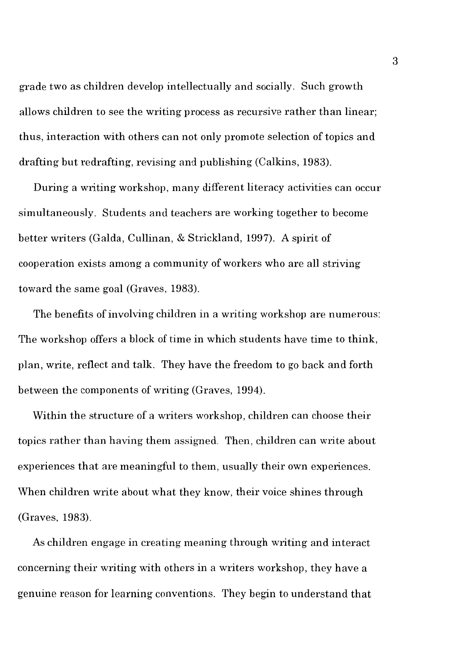grade two as children develop intellectually and socially. Such growth allows children to see the writing process as recursive rather than linear; thus, interaction with others can not only promote selection of topics and drafting but redrafting, revising and publishing (Calkins, 1983).

During a writing workshop, many different literacy activities can occur simultaneously. Students and teachers are working together to become better writers (Galda, Cullinan, & Strickland, 1997). A spirit of cooperation exists among a community of workers who are all striving toward the same goal (Graves, 1983).

The benefits of involving children in a writing workshop are numerous: The workshop offers a block of time in which students have time to think, plan, write, reflect and talk. They have the freedom to go back and forth between the components of writing (Graves, 1994).

Within the structure of a writers workshop, children can choose their topics rather than having them assigned. Then, children can write about experiences that are meaningful to them, usually their own experiences. When children write about what they know, their voice shines through (Graves, 1983).

As children engage in creating meaning through writing and interact concerning their writing with others in a writers workshop, they have a genuine reason for learning conventions. They begin to understand that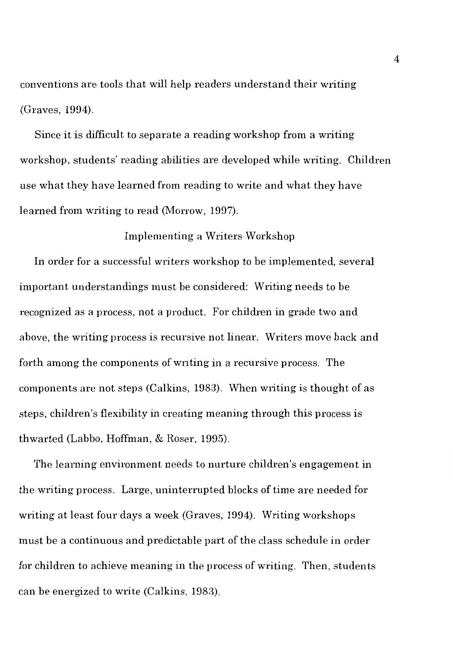conventions are tools that will help readers understand their writing (Graves, 1994).

Since it is difficult to separate a reading workshop from a writing workshop, students' reading abilities are developed while writing. Children use what they have learned from reading to write and what they have learned from writing to read (Morrow, 1997).

Implementing a Writers Workshop

In order for a successful writers workshop to be implemented, several important understandings must be considered: Writing needs to be recognized as a process, not a product. For children in grade two and above, the writing process is recursive not linear. Writers move back and forth among the components of writing in a recursive process. The components are not steps (Calkins, 1983). When writing is thought of as steps, children's flexibility in creating meaning through this process is thwarted (Labbo, Hoffman, & Roser, 1995).

The learning environment needs to nurture children's engagement in the writing process. Large, uninterrupted blocks of time are needed for writing at least four days a week (Graves, 1994). Writing workshops must be a continuous and predictable part of the class schedule in order for children to achieve meaning in the process of writing. Then, students can be energized to write (Calkins, 1983).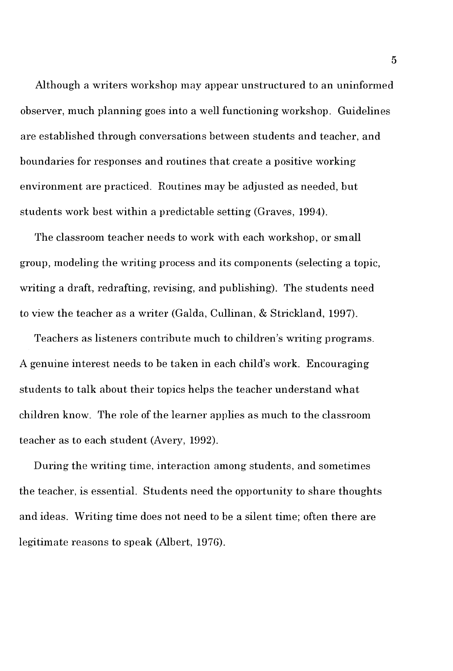Although a writers workshop may appear unstructured to an uninformed observer, much planning goes into a well functioning workshop. Guidelines are established through conversations between students and teacher, and boundaries for responses and routines that create a positive working environment are practiced. Routines may be adjusted as needed, but students work best within a predictable setting (Graves, 1994).

The classroom teacher needs to work with each workshop, or small group, modeling the writing process and its components (selecting a topic, writing a draft, redrafting, revising, and publishing). The students need to view the teacher as a writer (Galda, Cullinan, & Strickland, 1997).

Teachers as listeners contribute much to children's writing programs. A genuine interest needs to be taken in each child's work. Encouraging students to talk about their topics helps the teacher understand what children know. The role of the learner applies as much to the classroom teacher as to each student (Avery, 1992).

During the writing time, interaction among students, and sometimes the teacher, is essential. Students need the opportunity to share thoughts and ideas. Writing time does not need to be a silent time; often there are legitimate reasons to speak (Albert, 1976).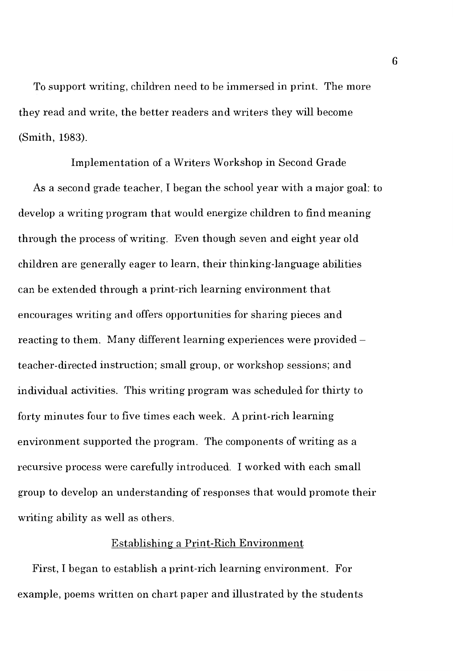To support writing, children need to be immersed in print. The more they read and write, the better readers and writers they will become (Smith, 1983).

Implementation of a Writers Workshop in Second Grade As a second grade teacher, I began the school year with a major goal: to develop a writing program that would energize children to find meaning through the process of writing. Even though seven and eight year old children are generally eager to learn, their thinking-language abilities can be extended through a print-rich learning environment that encourages writing and offers opportunities for sharing pieces and reacting to them. Many different learning experiences were provided teacher-directed instruction; small group, or workshop sessions; and individual activities. This writing program was scheduled for thirty to forty minutes four to five times each week. A print-rich learning environment supported the program. The components of writing as a recursive process were carefully introduced. I worked with each small group to develop an understanding of responses that would promote their writing ability as well as others.

#### Establishing a Print-Rich Environment

First, I began to establish a print-rich learning environment. For example, poems written on chart paper and illustrated by the students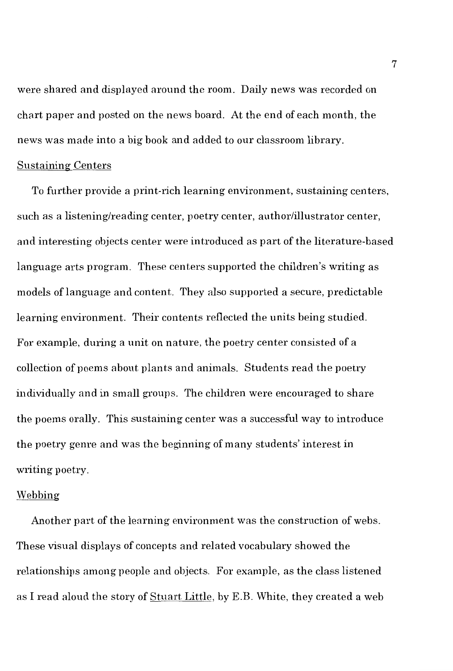were shared and displayed around the room. Daily news was recorded on chart paper and posted on the news board. At the end of each month, the news was made into a big book and added to our classroom library.

#### Sustaining Centers

To further provide a print-rich learning environment, sustaining centers, such as a listening/reading center, poetry center, author/illustrator center, and interesting objects center were introduced as part of the literature-based language arts program. These centers supported the children's writing as models oflanguage and content. They also supported a secure, predictable learning environment. Their contents reflected the units being studied. For example, during a unit on nature, the poetry center consisted of a collection of poems about plants and animals. Students read the poetry individually and in small groups. The children were encouraged to share the poems orally. This sustaining center was a successful way to introduce the poetry genre and was the beginning of many students' interest in writing poetry.

#### Webbing

Another part of the learning environment was the construction of webs. These visual displays of concepts and related vocabulary showed the relationships among people and objects. For example, as the class listened as I read aloud the story of Stuart Little, by E.B. White, they created a web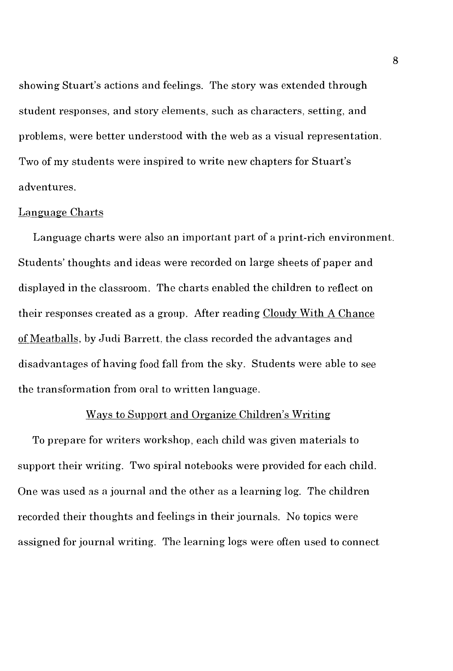showing Stuart's actions and feelings. The story was extended through student responses, and story elements, such as characters, setting, and problems, were better understood with the web as a visual representation. Two of my students were inspired to write new chapters for Stuart's adventures.

#### Language Charts

Language charts were also an important part of a print-rich environment. Students' thoughts and ideas were recorded on large sheets of paper and displayed in the classroom. The charts enabled the children to reflect on their responses created as a group. After reading Cloudy With A Chance of Meatballs, by Judi Barrett, the class recorded the advantages and disadvantages of having food fall from the sky. Students were able to see the transformation from oral to written language.

#### Ways to Support and Organize Children's Writing

To prepare for writers workshop, each child was given materials to support their writing. Two spiral notebooks were provided for each child. One was used as a journal and the other as a learning log. The children recorded their thoughts and feelings in their journals. No topics were assigned for journal writing. The learning logs were often used to connect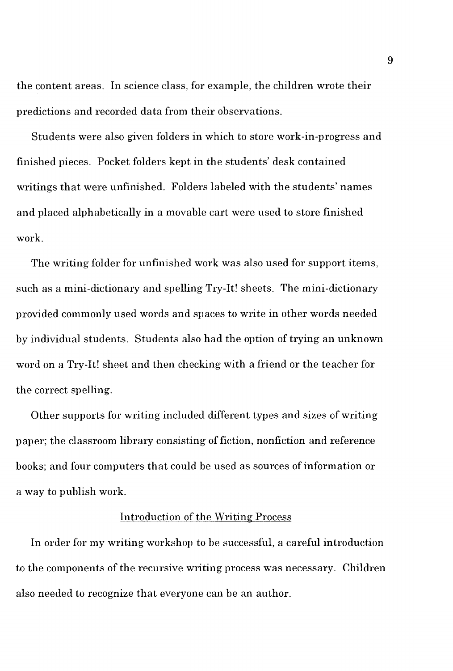the content areas. In science class, for example, the children wrote their predictions and recorded data from their observations.

Students were also given folders in which to store work-in-progress and finished pieces. Pocket folders kept in the students' desk contained writings that were unfinished. Folders labeled with the students' names and placed alphabetically in a movable cart were used to store finished work.

The writing folder for unfinished work was also used for support items, such as a mini-dictionary and spelling Try-It! sheets. The mini-dictionary provided commonly used words and spaces to write in other words needed by individual students. Students also had the option of trying an unknown word on a Try-It! sheet and then checking with a friend or the teacher for the correct spelling.

Other supports for writing included different types and sizes of writing paper; the classroom library consisting of fiction, nonfiction and reference books; and four computers that could be used as sources of information or a way to publish work.

#### Introduction of the Writing Process

In order for my writing workshop to be successful, a careful introduction to the components of the recursive writing process was necessary. Children also needed to recognize that everyone can be an author.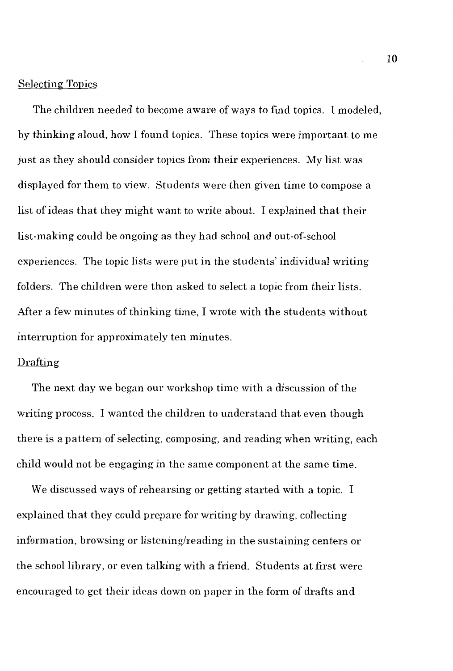#### Selecting Topics

The children needed to become aware of ways to find topics. I modeled, by thinking aloud, how I found topics. These topics were important to me just as they should consider topics from their experiences. My list was displayed for them to view. Students were then given time to compose a list of ideas that they might want to write about. I explained that their list-making could be ongoing as they had school and out-of-school experiences. The topic lists were put in the students' individual writing folders. The children were then asked to select a topic from their lists. After a few minutes of thinking time, I wrote with the students without interruption for approximately ten minutes.

#### Drafting

The next day we began our workshop time with a discussion of the writing process. I wanted the children to understand that even though there is a pattern of selecting, composing, and reading when writing, each child would not be engaging in the same component at the same time.

We discussed ways of rehearsing or getting started with a topic. I explained that they could prepare for writing by drawing, collecting information, browsing or listening/reading in the sustaining centers or the school library, or even talking with a friend. Students at first were encouraged to get their ideas down on paper in the form of drafts and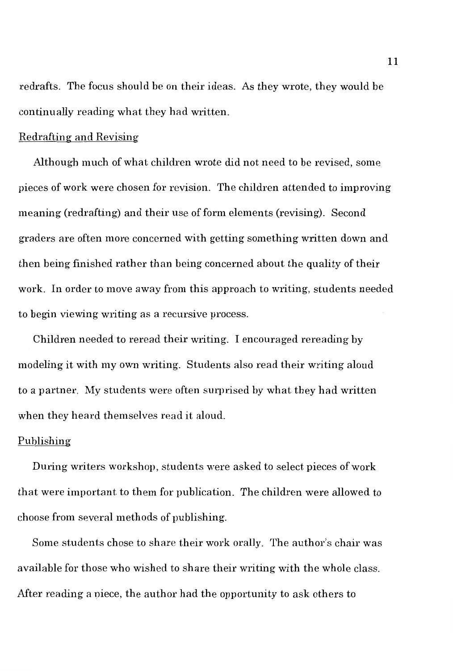redrafts. The focus should be on their ideas. As they wrote, they would be continually reading what they had written.

#### Redrafting and Revising

Although much of what children wrote did not need to be revised, some pieces of work were chosen for revision. The children attended to improving meaning (redrafting) and their use of form elements (revising). Second graders are often more concerned with getting something written down and then being finished rather than being concerned about the quality of their work. In order to move away from this approach to writing, students needed to begin viewing writing as a recursive process.

Children needed to reread their writing. I encouraged rereading by modeling it with my own writing. Students also read their writing aloud to a partner. My students were often surprised by what they had written when they heard themselves read it aloud.

#### Publishing

During writers workshop, students were asked to select pieces of work that were important to them for publication. The children were allowed to choose from several methods of publishing.

Some students chose to share their work orally. The author's chair was available for those who wished to share their writing with the whole class. After reading a niece, the author had the opportunity to ask others to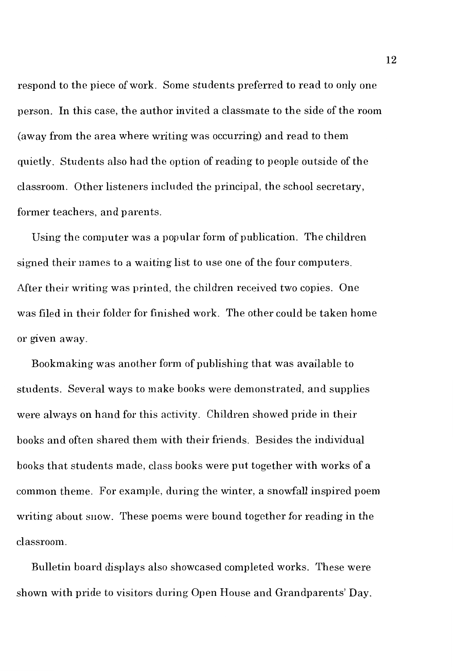respond to the piece of work. Some students preferred to read to only one person. In this case, the author invited a classmate to the side of the room (away from the area where writing was occurring) and read to them quietly. Students also had the option of reading to people outside of the classroom. Other listeners included the principal, the school secretary, former teachers, and parents.

Using the computer was a popular form of publication. The children signed their names to a waiting list to use one of the four computers. After their writing was printed, the children received two copies. One was filed in their folder for finished work. The other could be taken home or given away.

Bookmaking was another form of publishing that was available to students. Several ways to make books were demonstrated, and supplies were always on hand for this activity. Children showed pride in their books and often shared them with their friends. Besides the individual books that students made, class books were put together with works of a common theme. For example, during the winter, a snowfall inspired poem writing about snow. These poems were bound together for reading in the classroom.

Bulletin board displays also showcased completed works. These were shown with pride to visitors during Open House and Grandparents' Day.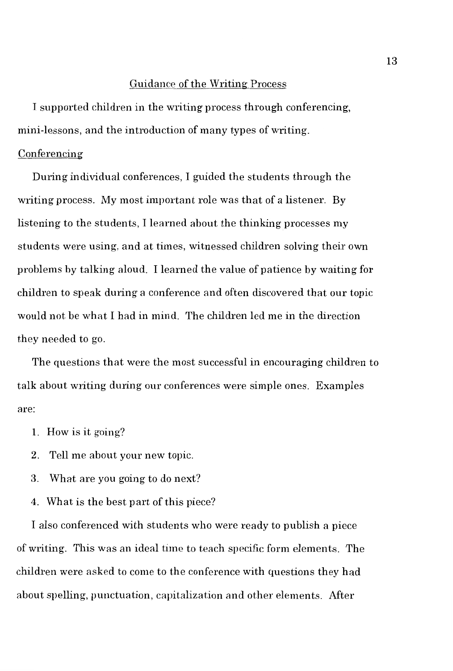#### Guidance of the Writing Process

I supported children in the writing process through conferencing, mini-lessons, and the introduction of many types of writing.

#### Conferencing

During individual conferences, I guided the students through the writing process. My most important role was that of a listener. By listening to the students, I learned about the thinking processes my students were using, and at times, witnessed children solving their own problems by talking aloud. I learned the value of patience by waiting for children to speak during a conference and often discovered that our topic would not be what I had in mind. The children led me in the direction they needed to go.

The questions that were the most successful in encouraging children to talk about writing during our conferences were simple ones. Examples are:

- 1. How is it going?
- 2. Tell me about your new topic.
- 3. What are you going to do next?
- 4. What is the best part of this piece?

I also conferenced with students who were ready to publish a piece of writing. This was an ideal time to teach specific form elements. The children were asked to come to the conference with questions they had about spelling, punctuation, capitalization and other elements. After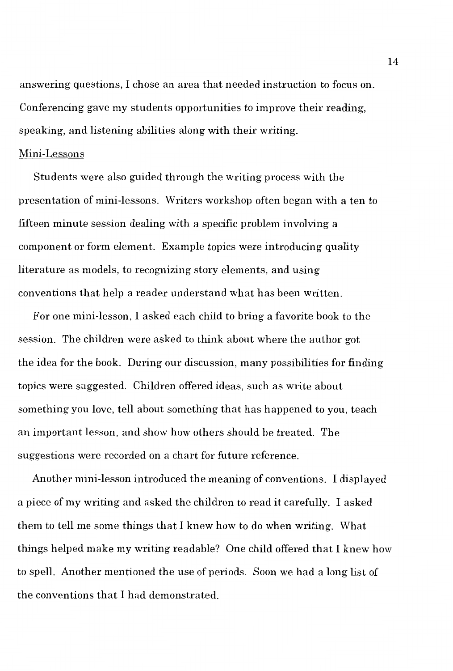answering questions, I chose an area that needed instruction to focus on. Conferencing gave my students opportunities to improve their reading, speaking, and listening abilities along with their writing.

#### Mini-Lessons

Students were also guided through the writing process with the presentation of mini-lessons. Writers workshop often began with a ten to fifteen minute session dealing with a specific problem involving a component or form element. Example topics were introducing quality literature as models, to recognizing story elements, and using conventions that help a reader understand what has been written.

For one mini-lesson, I asked each child to bring a favorite book to the session. The children were asked to think about where the author got the idea for the book. During our discussion, many possibilities for finding topics were suggested. Children offered ideas, such as write about something you love, tell about something that has happened to you, teach an important lesson, and show how others should be treated. The suggestions were recorded on a chart for future reference.

Another mini-lesson introduced the meaning of conventions. I displayed a piece of my writing and asked the children to read it carefully. I asked them to tell me some things that I knew how to do when writing. What things helped make my writing readable? One child offered that I knew how to spell. Another mentioned the use of periods. Soon we had a long list of the conventions that I had demonstrated.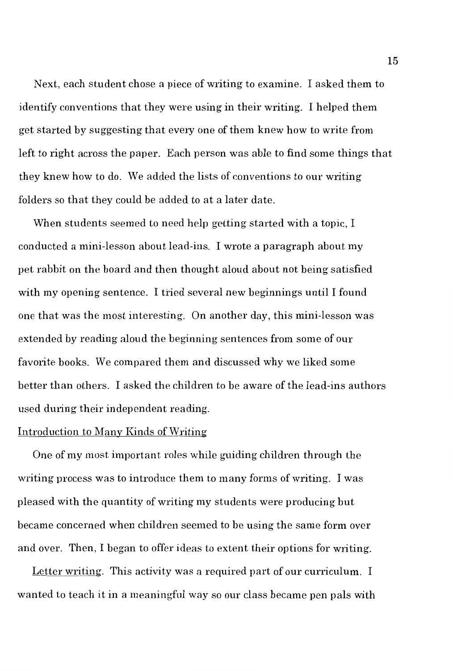Next, each student chose a piece of writing to examine. I asked them to identify conventions that they were using in their writing. I helped them get started by suggesting that every one of them knew how to write from left to right across the paper. Each person was able to find some things that they knew how to do. We added the lists of conventions to our writing folders so that they could be added to at a later date.

When students seemed to need help getting started with a topic, I conducted a mini-lesson about lead-ins. I wrote a paragraph about my pet rabbit on the board and then thought aloud about not being satisfied with my opening sentence. I tried several new beginnings until I found one that was the most interesting. On another day, this mini-lesson was extended by reading aloud the beginning sentences from some of our favorite books. We compared them and discussed why we liked some better than others. I asked the children to be aware of the lead-ins authors used during their independent reading.

#### Introduction to Many Kinds of Writing

One of my most important roles while guiding children through the writing process was to introduce them to many forms of writing. I was pleased with the quantity of writing my students were producing but became concerned when children seemed to be using the same form over and over. Then, I began to offer ideas to extent their options for writing.

Letter writing. This activity was a required part of our curriculum. I wanted to teach it in a meaningful way so our class became pen pals with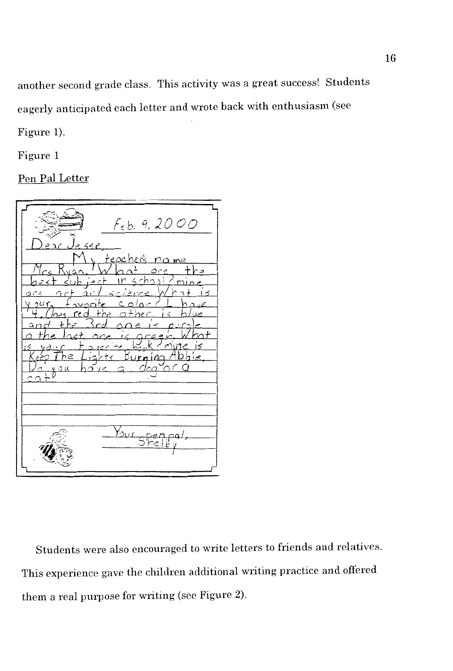another second grade class. This activity was a great success! Students eagerly anticipated each letter and wrote back with enthusiasm (see

Figure 1).

Figure 1

Pen Pal Letter

 $F_{e}b.9,2000$  $\alpha$ ur

Students were also encouraged to write letters to friends and relatives. This experience gave the children additional writing practice and offered them a real purpose for writing (see Figure 2).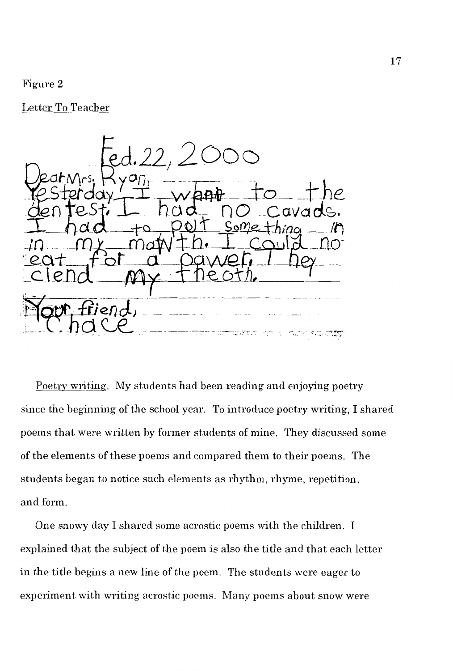#### Figure 2

Letter To Teacher



Poetry writing. My students had been reading and enjoying poetry since the beginning of the school year. To introduce poetry writing, I shared poems that were written by former students of mine. They discussed some of the elements of these poems and compared them to their poems. The students began to notice such elements as rhythm, rhyme, repetition, and form.

One snowy day I shared some acrostic poems with the children. I explained that the subject of the poem is also the title and that each letter in the title begins a new line of the poem. The students were eager to experiment with writing acrostic poems. Many poems about snow were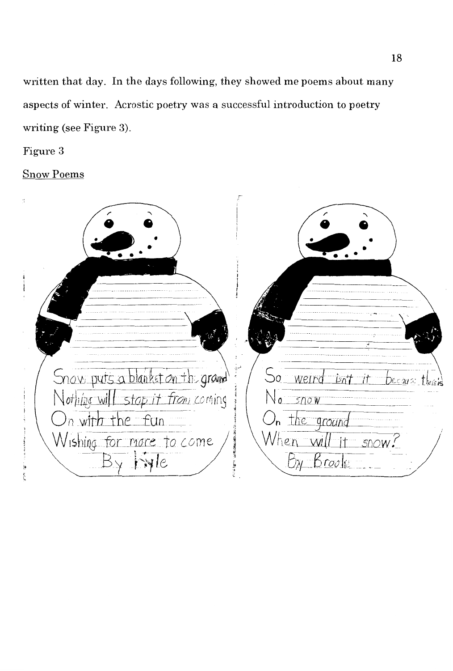**written that day. In the days following, they showed me poems about many aspects of winter. Acrostic poetry was a successful introduction to poetry**  writing (see Figure 3).

**Figure 3** 

**Snow Poems** 

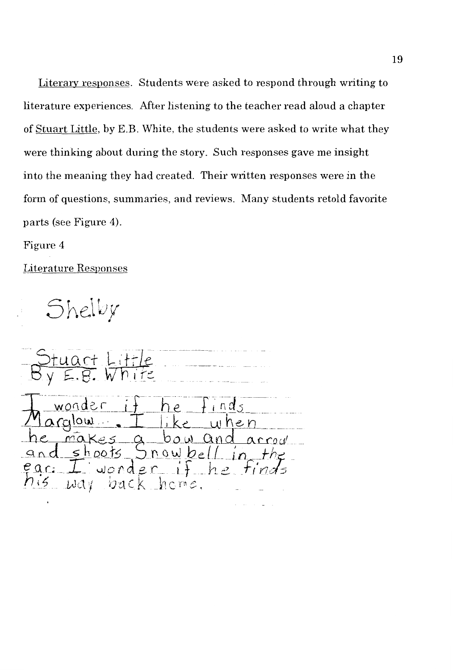Literary responses. Students were asked to respond through writing to literature experiences. After listening to the teacher read aloud a chapter of Stuart Little, by E.B. White, the students were asked to write what they were thinking about during the story. Such responses gave me insight into the meaning they had created. Their written responses were in the form of questions, summaries, and reviews. Many students retold favorite parts (see Figure 4).

Figure 4

Literature Responses

Shelby

 $owb$ e ar:  $\mathcal{L}$ d  $\mathcal{L}$  $\mathcal{M}$  $h$ crne.  $\frac{7}{2}$ りさく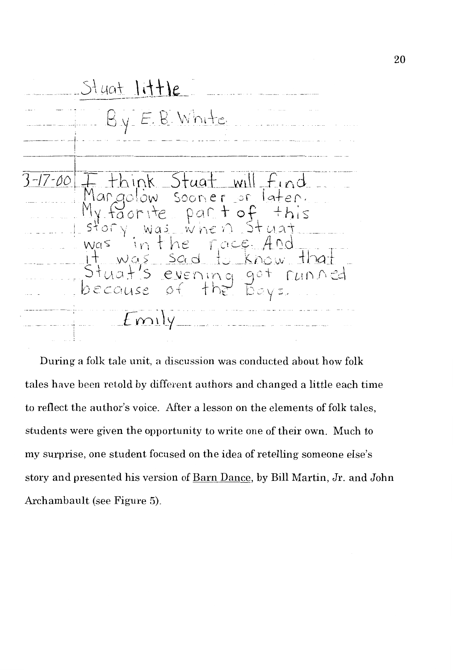$Stuat$   $l$ ittle By E.B. White  $7 - 00$ .k Stuat will Mangolow sooner or later.<br>My faorite part of this<br>story was when stuat story was when Stuat<br>was in the race And<br>it was sed to know that<br>Stuat's evening got runned<br>because of the bays.  $F_{\text{mily}}$ ·r i

During a folk tale unit, a discussion was conducted about how folk tales have been retold by different authors and changed a little each time to reflect the author's voice. After a lesson on the elements of folk tales, students were given the opportunity to write one of their own. Much to my surprise, one student focused on the idea of retelling someone else's story and presented his version of Barn Dance, by Bill Martin, Jr. and John Archambault (see Figure 5).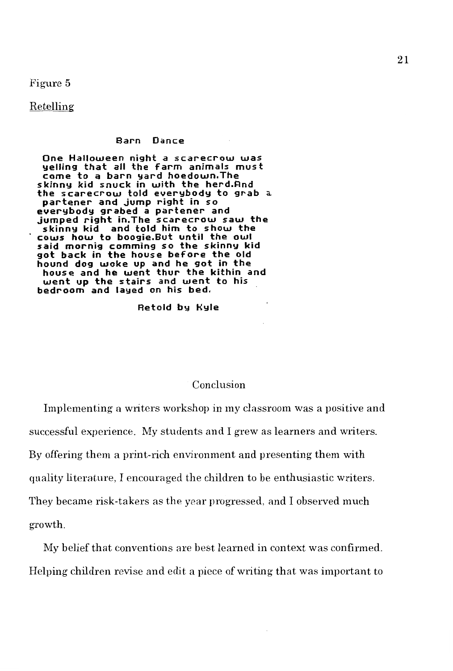Figure 5

Retelling

#### **Barn Dance**

**One Halloween night a scarecrow was yelling that all the farm animals must come to a barn yard hoedown, The skinny kid s nuck in with the herd.And the scarecrow told everybody to grab** a. **partener and jump right in so everybody grabed a partener and jumped right in.The scarecrow** *saw* **the skinny kid and told him to show the cows how to boogie.But until the owl said mornig comming so the skinny kid got back in the house before the old hound dog woke up and he got in the house and he went thur the kithin and**  *went* **up the stairs and went to his bedroom and layed on his bed.** 

**Retold by Hyle** 

#### Conclusion

Implementing a writers workshop in my classroom was a positive and successful experience. My students and I grew as learners and writers. By offering them a print-rich environment and presenting them with quality literature, I encouraged the children to be enthusiastic writers. They became risk-takers as the year progressed, and I observed much growth.

My belief that conventions are best learned in context was confirmed. Helping children revise and edit a piece of writing that was important to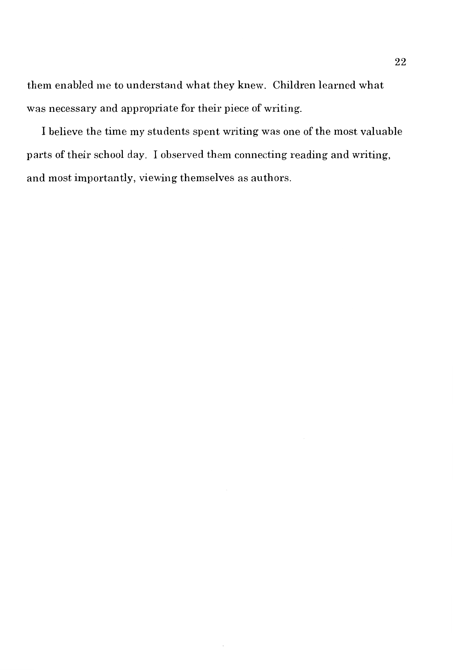them enabled me to understand what they knew. Children learned what was necessary and appropriate for their piece of writing.

I believe the time my students spent writing was one of the most valuable parts of their school day. I observed them connecting reading and writing, and most importantly, viewing themselves as authors.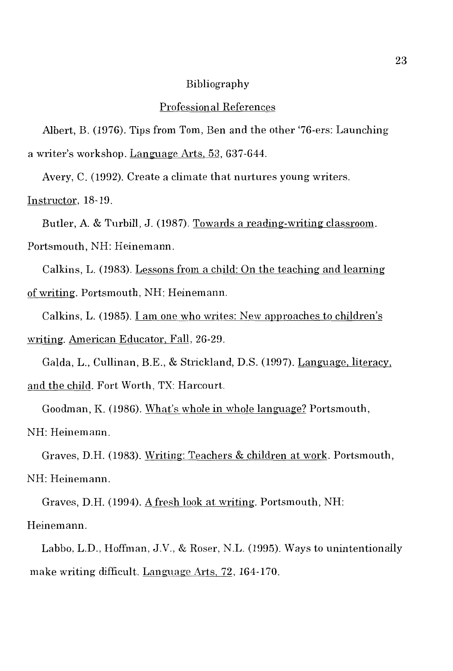#### Bibliography

#### Professional References

Albert, B. (1976). Tips from Tom, Ben and the other '76-ers: Launching a writer's workshop. Language Arts, 53, 637-644.

Avery, C. (1992). Create a climate that nurtures young writers.

Instructor, 18-19.

Butler, A. & Turbill, J. (1987). Towards a reading-writing classroom. Portsmouth, NH: Heinemann.

Calkins, L. (1983). Lessons from a child: On the teaching and learning of writing. Portsmouth, NH: Heinemann.

Calkins, L. (1985). I am one who writes: New approaches to children's writing. American Educator, Fall, 26-29.

Galda, L., Cullinan, B.E., & Strickland, D.S. (1997). Language, literacy, and the child. Fort Worth, TX: Harcourt.

Goodman, K. (1986). What's whole in whole language? Portsmouth, NH: Heinemann.

Graves, D.H. (1983). Writing: Teachers & children at work. Portsmouth, NH: Heinemann.

Graves, D.H. (1994). A fresh look at writing. Portsmouth, NH:

Heinemann.

Labbo, L.D., Hoffman, J.V., & Roser, N.L. (1995). Ways to unintentionally make writing difficult. Language Arts, 72, 164-170.